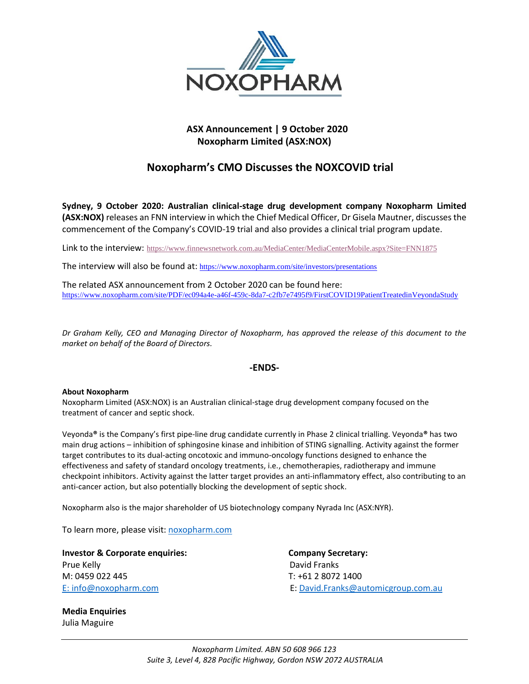

# **ASX Announcement | 9 October 2020 Noxopharm Limited (ASX:NOX)**

# **Noxopharm's CMO Discusses the NOXCOVID trial**

**Sydney, 9 October 2020: Australian clinical-stage drug development company Noxopharm Limited (ASX:NOX)** releases an FNN interview in which the Chief Medical Officer, Dr Gisela Mautner, discusses the commencement of the Company's COVID-19 trial and also provides a clinical trial program update.

Link to the interview: [https://www.finnewsnetwork.com.au/MediaCenter/MediaCenterMobile.aspx?Site=FNN1875](http://www.finnewsnetwork.com.au/MediaCenter/MediaCenterMobile.aspx?Site=FNN1875)

The interview will also be found at: <https://www.noxopharm.com/site/investors/presentations>

The related ASX announcement from 2 October 2020 can be found here: <https://www.noxopharm.com/site/PDF/ec094a4e-a46f-459c-8da7-c2fb7e7495f9/FirstCOVID19PatientTreatedinVeyondaStudy>

*Dr Graham Kelly, CEO and Managing Director of Noxopharm, has approved the release of this document to the market on behalf of the Board of Directors.*

## **-ENDS-**

### **About Noxopharm**

Noxopharm Limited (ASX:NOX) is an Australian clinical-stage drug development company focused on the treatment of cancer and septic shock.

Veyonda**®** is the Company's first pipe-line drug candidate currently in Phase 2 clinical trialling. Veyonda**®** has two main drug actions – inhibition of sphingosine kinase and inhibition of STING signalling. Activity against the former target contributes to its dual-acting oncotoxic and immuno-oncology functions designed to enhance the effectiveness and safety of standard oncology treatments, i.e., chemotherapies, radiotherapy and immune checkpoint inhibitors. Activity against the latter target provides an anti-inflammatory effect, also contributing to an anti-cancer action, but also potentially blocking the development of septic shock.

Noxopharm also is the major shareholder of US biotechnology company Nyrada Inc (ASX:NYR).

To learn more, please visit: [noxopharm.com](https://www.noxopharm.com/site/content/)

**Investor & Corporate enquiries:** Company Secretary: Prue Kelly **David Franks** M: 0459 022 445 T: +61 2 8072 1400

E: [info@noxopharm.com](mailto:info@noxopharm.com) E: [David.Franks@automicgroup.com.au](mailto:David.Franks@automicgroup.com.au)

**Media Enquiries**  Julia Maguire